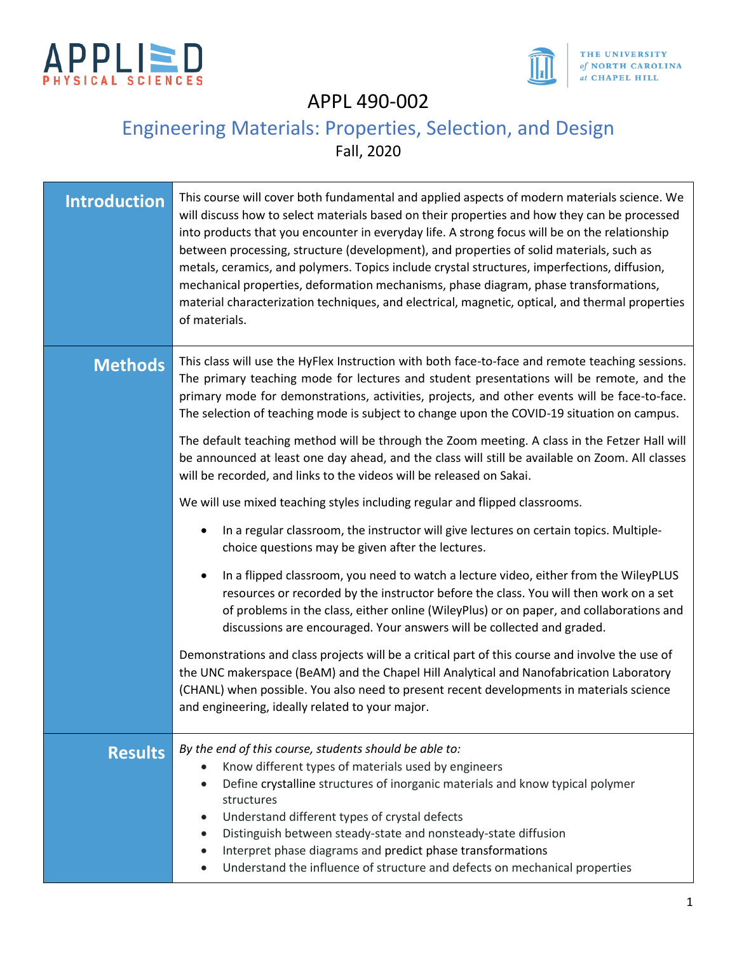



# APPL 490-002

## Engineering Materials: Properties, Selection, and Design Fall, 2020

| <b>Introduction</b> | This course will cover both fundamental and applied aspects of modern materials science. We<br>will discuss how to select materials based on their properties and how they can be processed<br>into products that you encounter in everyday life. A strong focus will be on the relationship<br>between processing, structure (development), and properties of solid materials, such as<br>metals, ceramics, and polymers. Topics include crystal structures, imperfections, diffusion,<br>mechanical properties, deformation mechanisms, phase diagram, phase transformations,<br>material characterization techniques, and electrical, magnetic, optical, and thermal properties<br>of materials. |
|---------------------|-----------------------------------------------------------------------------------------------------------------------------------------------------------------------------------------------------------------------------------------------------------------------------------------------------------------------------------------------------------------------------------------------------------------------------------------------------------------------------------------------------------------------------------------------------------------------------------------------------------------------------------------------------------------------------------------------------|
| <b>Methods</b>      | This class will use the HyFlex Instruction with both face-to-face and remote teaching sessions.<br>The primary teaching mode for lectures and student presentations will be remote, and the<br>primary mode for demonstrations, activities, projects, and other events will be face-to-face.<br>The selection of teaching mode is subject to change upon the COVID-19 situation on campus.                                                                                                                                                                                                                                                                                                          |
|                     | The default teaching method will be through the Zoom meeting. A class in the Fetzer Hall will<br>be announced at least one day ahead, and the class will still be available on Zoom. All classes<br>will be recorded, and links to the videos will be released on Sakai.                                                                                                                                                                                                                                                                                                                                                                                                                            |
|                     | We will use mixed teaching styles including regular and flipped classrooms.                                                                                                                                                                                                                                                                                                                                                                                                                                                                                                                                                                                                                         |
|                     | In a regular classroom, the instructor will give lectures on certain topics. Multiple-<br>choice questions may be given after the lectures.                                                                                                                                                                                                                                                                                                                                                                                                                                                                                                                                                         |
|                     | In a flipped classroom, you need to watch a lecture video, either from the WileyPLUS<br>٠<br>resources or recorded by the instructor before the class. You will then work on a set<br>of problems in the class, either online (WileyPlus) or on paper, and collaborations and<br>discussions are encouraged. Your answers will be collected and graded.                                                                                                                                                                                                                                                                                                                                             |
|                     | Demonstrations and class projects will be a critical part of this course and involve the use of<br>the UNC makerspace (BeAM) and the Chapel Hill Analytical and Nanofabrication Laboratory<br>(CHANL) when possible. You also need to present recent developments in materials science<br>and engineering, ideally related to your major.                                                                                                                                                                                                                                                                                                                                                           |
| <b>Results</b>      | By the end of this course, students should be able to:<br>Know different types of materials used by engineers<br>Define crystalline structures of inorganic materials and know typical polymer<br>structures<br>Understand different types of crystal defects<br>Distinguish between steady-state and nonsteady-state diffusion<br>$\bullet$<br>Interpret phase diagrams and predict phase transformations<br>Understand the influence of structure and defects on mechanical properties                                                                                                                                                                                                            |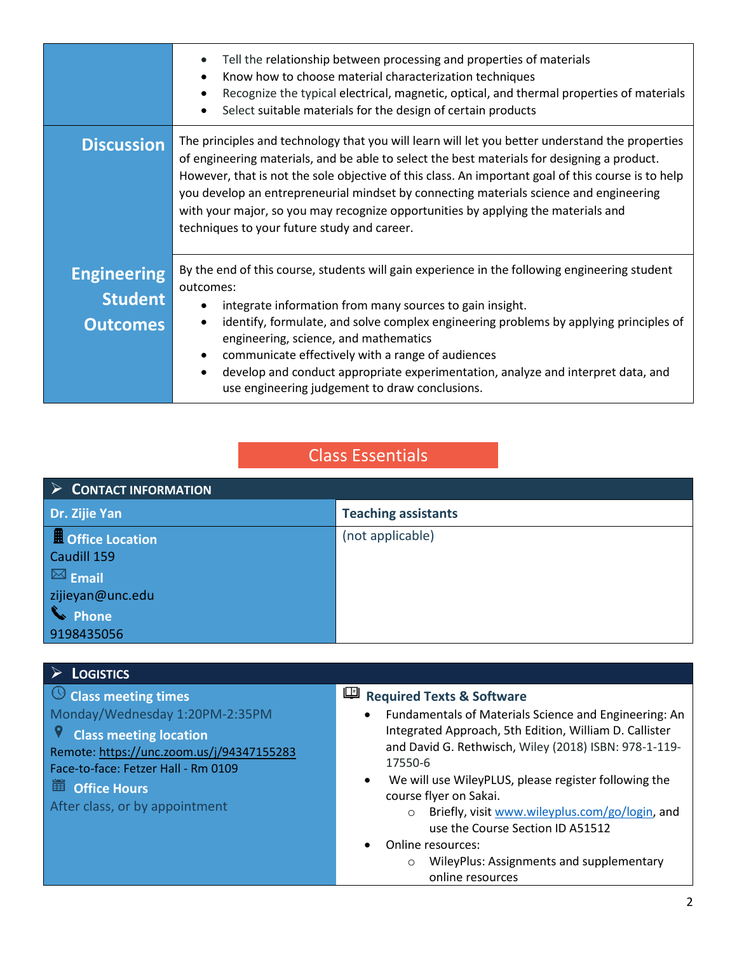|                                                         | Tell the relationship between processing and properties of materials<br>$\bullet$<br>Know how to choose material characterization techniques<br>$\bullet$<br>Recognize the typical electrical, magnetic, optical, and thermal properties of materials<br>$\bullet$<br>Select suitable materials for the design of certain products<br>$\bullet$                                                                                                                                                                                            |
|---------------------------------------------------------|--------------------------------------------------------------------------------------------------------------------------------------------------------------------------------------------------------------------------------------------------------------------------------------------------------------------------------------------------------------------------------------------------------------------------------------------------------------------------------------------------------------------------------------------|
| <b>Discussion</b>                                       | The principles and technology that you will learn will let you better understand the properties<br>of engineering materials, and be able to select the best materials for designing a product.<br>However, that is not the sole objective of this class. An important goal of this course is to help<br>you develop an entrepreneurial mindset by connecting materials science and engineering<br>with your major, so you may recognize opportunities by applying the materials and<br>techniques to your future study and career.         |
| <b>Engineering</b><br><b>Student</b><br><b>Outcomes</b> | By the end of this course, students will gain experience in the following engineering student<br>outcomes:<br>integrate information from many sources to gain insight.<br>$\bullet$<br>identify, formulate, and solve complex engineering problems by applying principles of<br>$\bullet$<br>engineering, science, and mathematics<br>communicate effectively with a range of audiences<br>$\bullet$<br>develop and conduct appropriate experimentation, analyze and interpret data, and<br>use engineering judgement to draw conclusions. |

# Class Essentials

| <b>CONTACT INFORMATION</b> |                            |  |  |
|----------------------------|----------------------------|--|--|
| Dr. Zijie Yan              | <b>Teaching assistants</b> |  |  |
| Office Location            | (not applicable)           |  |  |
| Caudill 159                |                            |  |  |
| $\boxtimes$ Email          |                            |  |  |
| zijieyan@unc.edu           |                            |  |  |
| <b>C</b> Phone             |                            |  |  |
| 9198435056                 |                            |  |  |

| <b>LOGISTICS</b>                          |                                                                                                                 |
|-------------------------------------------|-----------------------------------------------------------------------------------------------------------------|
| <b>Class meeting times</b>                | U<br><b>Required Texts &amp; Software</b>                                                                       |
| Monday/Wednesday 1:20PM-2:35PM            | Fundamentals of Materials Science and Engineering: An<br>$\bullet$                                              |
| <b>Class meeting location</b>             | Integrated Approach, 5th Edition, William D. Callister<br>and David G. Rethwisch, Wiley (2018) ISBN: 978-1-119- |
| Remote: https://unc.zoom.us/j/94347155283 |                                                                                                                 |
| Face-to-face: Fetzer Hall - Rm 0109       | 17550-6                                                                                                         |
| 當<br><b>Office Hours</b>                  | We will use WileyPLUS, please register following the<br>$\bullet$<br>course flyer on Sakai.                     |
| After class, or by appointment            | Briefly, visit www.wileyplus.com/go/login, and<br>$\circ$                                                       |
|                                           | use the Course Section ID A51512                                                                                |
|                                           | Online resources:<br>$\bullet$<br>WileyPlus: Assignments and supplementary<br>O<br>online resources             |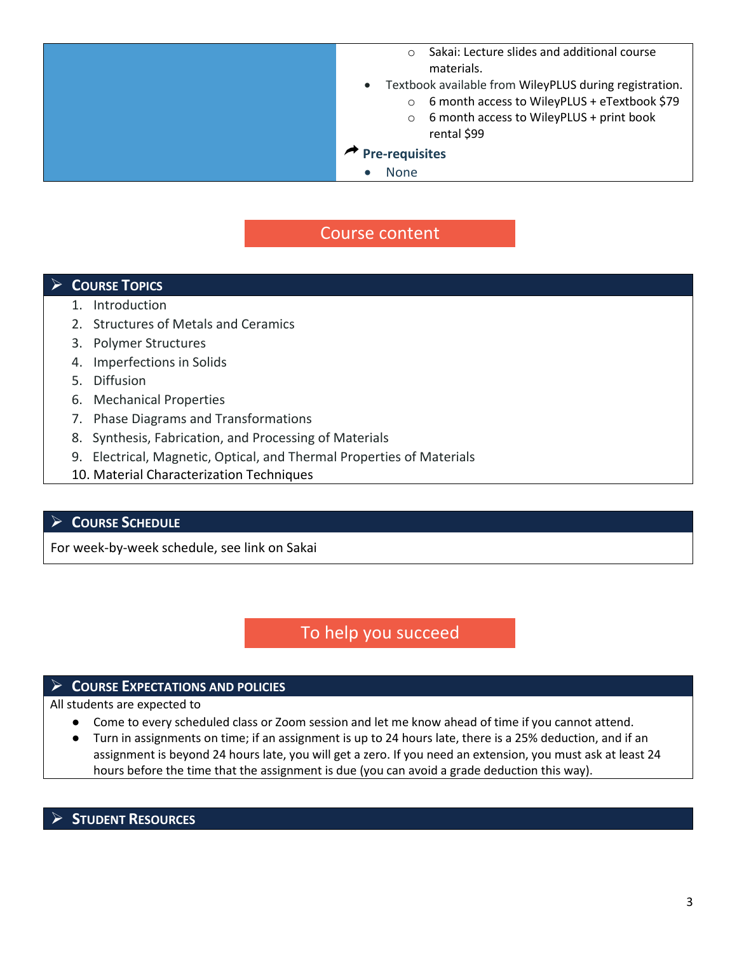

### Course content

#### ➢ **COURSE TOPICS**

- 1. Introduction
- 2. Structures of Metals and Ceramics
- 3. Polymer Structures
- 4. Imperfections in Solids
- 5. Diffusion
- 6. Mechanical Properties
- 7. Phase Diagrams and Transformations
- 8. Synthesis, Fabrication, and Processing of Materials
- 9. Electrical, Magnetic, Optical, and Thermal Properties of Materials
- 10. Material Characterization Techniques

### ➢ **COURSE SCHEDULE**

For week-by-week schedule, see link on Sakai

### To help you succeed

### ➢ **COURSE EXPECTATIONS AND POLICIES**

All students are expected to

- Come to every scheduled class or Zoom session and let me know ahead of time if you cannot attend.
- Turn in assignments on time; if an assignment is up to 24 hours late, there is a 25% deduction, and if an assignment is beyond 24 hours late, you will get a zero. If you need an extension, you must ask at least 24 hours before the time that the assignment is due (you can avoid a grade deduction this way).

➢ **STUDENT RESOURCES**